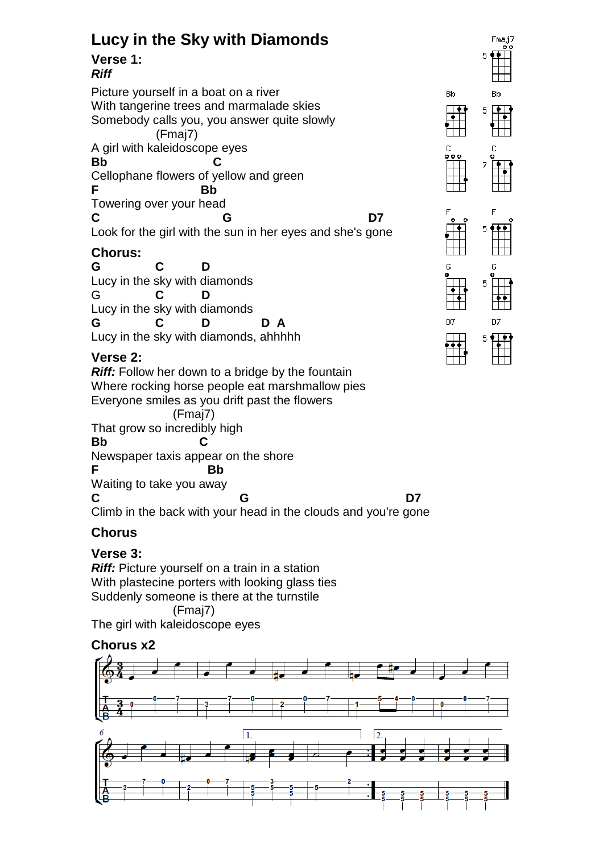



## **Verse 2:**

**Riff:** Follow her down to a bridge by the fountain Where rocking horse people eat marshmallow pies Everyone smiles as you drift past the flowers (Fmaj7) That grow so incredibly high **Bb C** Newspaper taxis appear on the shore **F Bb** Waiting to take you away C D7 Climb in the back with your head in the clouds and you're gone

Lucy in the sky with diamonds, ahhhhh

## **Chorus**

## **Verse 3:**

**Riff:** Picture yourself on a train in a station With plastecine porters with looking glass ties Suddenly someone is there at the turnstile (Fmaj7)

The girl with kaleidoscope eyes

## **Chorus x2**



Fmaj7 Bb

**Bb**